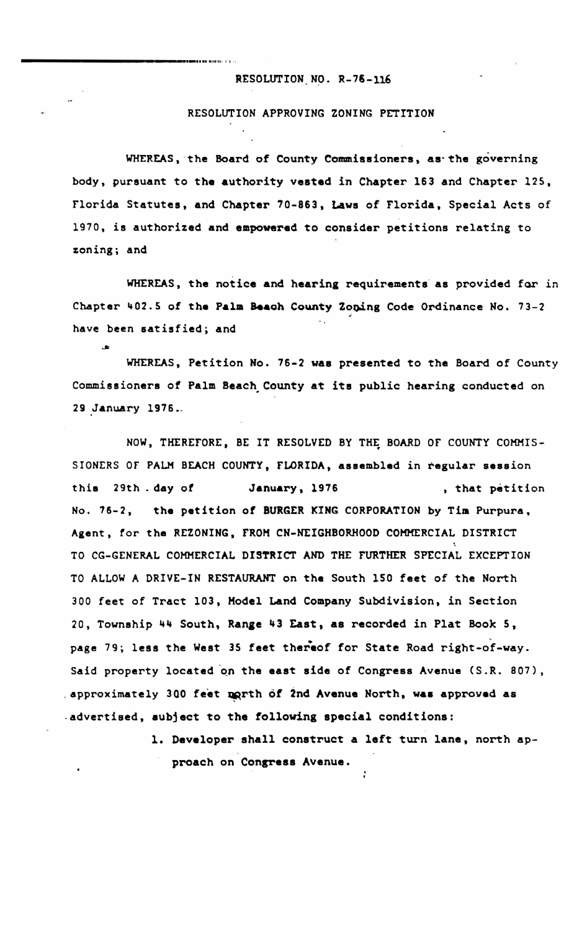## RESOLUTION NO. R-76-116

1

\_\_\_\_\_\_\_\_\_\_\_\_ ......... · Jll fIH .l <sup>1</sup> <sup>1</sup> <sup>1</sup>

....

## RESOLUTION APPROVING ZONING PETITION

WHEREAS, the Board of County Commissioners, as the governing body, pursuant to the authority vested in Chapter 163 and Chapter 125, Florida Statutes, and Chapter 70-863, Laws of Florida, Special Acts of 1970, is authorized and empowered to consider petitions relating to zoning; and

WHEREAS, the notice and hearing requirements as provided for in Chapter 402.5 of the Palm Beach County Zoning Code Ordinance No. 73-2 have been satisfied; and

WHEREAS, Petition No. 76-2 was presented to the Board of County Commissioners of Palm Beach. County at its public hearing conducted on 29 January 1976.

NOW, THEREFORE, BE IT RESOLVED BY THE BOARD OF COUNTY COMMIS-SIONERS OF PALM BEACH COUNTY, FLORIDA, assembled in regular session this 29th. day of January, 1976 , that petition No. 76-2, the petition of BURGER KING CORPORATION by Tim Purpura, Agent, for the REZONING, FROM CN-NEIGHBORHOOD COMMERCIAL DISTRICT TO CG-GENERAL COMMERCIAL DISTRICT AND THE FURTHER SPECIAL EXCEPTION TO ALLOW A DRIVE-IN RESTAURANT on the South 150 feet of the North 300 feet of Tract 103. Hodel Land Company Subdivision. in Section 20, Township 44 South, Range 43 East, as recorded in Plat Book 5, page 79; less the West 35 feet thereof for State Road right-of-way. Said property located on the east side of Congress Avenue (S.R. 807), . approximately 300 feet north of 2nd Avenue North, was approved as .advertised, aubject to the following special conditions:

> 1. Developer shall construct a left turn lane, north approach on Congress Avenue.